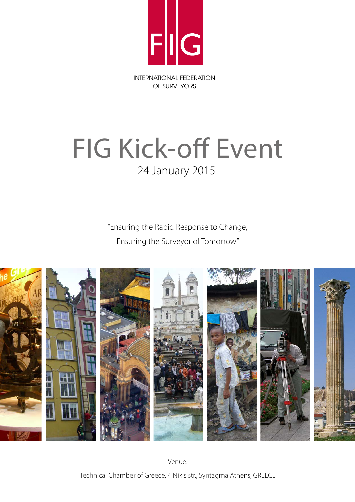

## FIG Kick-off Event 24 January 2015

"Ensuring the Rapid Response to Change, Ensuring the Surveyor of Tomorrow"



Venue: Technical Chamber of Greece, 4 Nikis str., Syntagma Athens, GREECE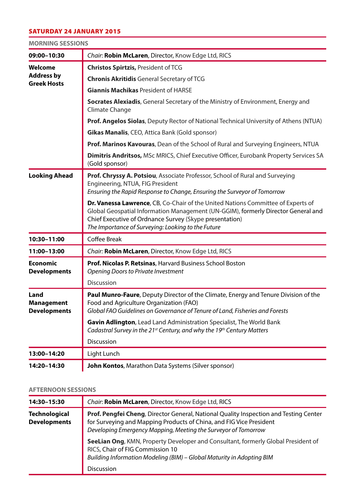## SATURDAY 24 JANUARY 2015

| <b>MORNING SESSIONS</b> |  |
|-------------------------|--|
|-------------------------|--|

| 09:00-10:30                                        | Chair: Robin McLaren, Director, Know Edge Ltd, RICS                                                                                                                                                                                                                                    |
|----------------------------------------------------|----------------------------------------------------------------------------------------------------------------------------------------------------------------------------------------------------------------------------------------------------------------------------------------|
| Welcome<br><b>Address by</b><br><b>Greek Hosts</b> | <b>Christos Spirtzis, President of TCG</b>                                                                                                                                                                                                                                             |
|                                                    | <b>Chronis Akritidis General Secretary of TCG</b>                                                                                                                                                                                                                                      |
|                                                    | <b>Giannis Machikas President of HARSE</b>                                                                                                                                                                                                                                             |
|                                                    | Socrates Alexiadis, General Secretary of the Ministry of Environment, Energy and<br>Climate Change                                                                                                                                                                                     |
|                                                    | Prof. Angelos Siolas, Deputy Rector of National Technical University of Athens (NTUA)                                                                                                                                                                                                  |
|                                                    | Gikas Manalis, CEO, Attica Bank (Gold sponsor)                                                                                                                                                                                                                                         |
|                                                    | Prof. Marinos Kavouras, Dean of the School of Rural and Surveying Engineers, NTUA                                                                                                                                                                                                      |
|                                                    | Dimitris Andritsos, MSc MRICS, Chief Executive Officer, Eurobank Property Services SA<br>(Gold sponsor)                                                                                                                                                                                |
| <b>Looking Ahead</b>                               | Prof. Chryssy A. Potsiou, Associate Professor, School of Rural and Surveying<br>Engineering, NTUA, FIG President<br>Ensuring the Rapid Response to Change, Ensuring the Surveyor of Tomorrow                                                                                           |
|                                                    | Dr. Vanessa Lawrence, CB, Co-Chair of the United Nations Committee of Experts of<br>Global Geospatial Information Management (UN-GGIM), formerly Director General and<br>Chief Executive of Ordnance Survey (Skype presentation)<br>The Importance of Surveying: Looking to the Future |
| 10:30-11:00                                        | Coffee Break                                                                                                                                                                                                                                                                           |
| 11:00-13:00                                        | Chair: Robin McLaren, Director, Know Edge Ltd, RICS                                                                                                                                                                                                                                    |
| <b>Economic</b><br><b>Developments</b>             | Prof. Nicolas P. Retsinas, Harvard Business School Boston<br>Opening Doors to Private Investment                                                                                                                                                                                       |
|                                                    | Discussion                                                                                                                                                                                                                                                                             |
| Land<br><b>Management</b><br><b>Developments</b>   | Paul Munro-Faure, Deputy Director of the Climate, Energy and Tenure Division of the<br>Food and Agriculture Organization (FAO)<br>Global FAO Guidelines on Governance of Tenure of Land, Fisheries and Forests                                                                         |
|                                                    | Gavin Adlington, Lead Land Administration Specialist, The World Bank<br>Cadastral Survey in the 21 <sup>st</sup> Century, and why the 19 <sup>th</sup> Century Matters                                                                                                                 |
|                                                    | Discussion                                                                                                                                                                                                                                                                             |
| 13:00-14:20                                        | Light Lunch                                                                                                                                                                                                                                                                            |
| 14:20-14:30                                        | John Kontos, Marathon Data Systems (Silver sponsor)                                                                                                                                                                                                                                    |
|                                                    |                                                                                                                                                                                                                                                                                        |

## **AFTERNOON SESSIONS**

| 14:30-15:30                                 | Chair: Robin McLaren, Director, Know Edge Ltd, RICS                                                                                                                                                                            |
|---------------------------------------------|--------------------------------------------------------------------------------------------------------------------------------------------------------------------------------------------------------------------------------|
| <b>Technological</b><br><b>Developments</b> | Prof. Pengfei Cheng, Director General, National Quality Inspection and Testing Center<br>for Surveying and Mapping Products of China, and FIG Vice President<br>Developing Emergency Mapping, Meeting the Surveyor of Tomorrow |
|                                             | SeeLian Ong, KMN, Property Developer and Consultant, formerly Global President of<br>RICS, Chair of FIG Commission 10<br>Building Information Modeling (BIM) - Global Maturity in Adopting BIM<br><b>Discussion</b>            |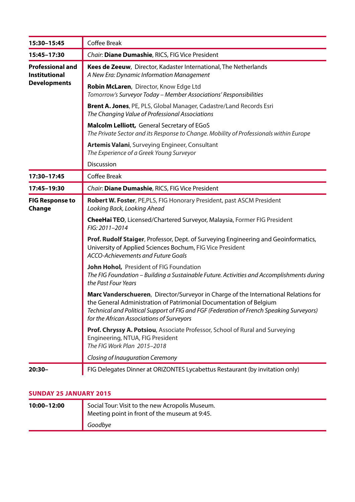| 15:30-15:45                                                            | Coffee Break                                                                                                                                                                                                                                                                                       |
|------------------------------------------------------------------------|----------------------------------------------------------------------------------------------------------------------------------------------------------------------------------------------------------------------------------------------------------------------------------------------------|
| 15:45-17:30                                                            | Chair: Diane Dumashie, RICS, FIG Vice President                                                                                                                                                                                                                                                    |
| <b>Professional and</b><br><b>Institutional</b><br><b>Developments</b> | Kees de Zeeuw, Director, Kadaster International, The Netherlands<br>A New Era: Dynamic Information Management                                                                                                                                                                                      |
|                                                                        | Robin McLaren, Director, Know Edge Ltd<br>Tomorrow's Surveyor Today - Member Associations' Responsibilities                                                                                                                                                                                        |
|                                                                        | Brent A. Jones, PE, PLS, Global Manager, Cadastre/Land Records Esri<br>The Changing Value of Professional Associations                                                                                                                                                                             |
|                                                                        | <b>Malcolm Lelliott, General Secretary of EGoS</b><br>The Private Sector and its Response to Change. Mobility of Professionals within Europe                                                                                                                                                       |
|                                                                        | Artemis Valani, Surveying Engineer, Consultant<br>The Experience of a Greek Young Surveyor                                                                                                                                                                                                         |
|                                                                        | Discussion                                                                                                                                                                                                                                                                                         |
| 17:30-17:45                                                            | Coffee Break                                                                                                                                                                                                                                                                                       |
| 17:45-19:30                                                            | Chair: Diane Dumashie, RICS, FIG Vice President                                                                                                                                                                                                                                                    |
| <b>FIG Response to</b><br>Change                                       | Robert W. Foster, PE, PLS, FIG Honorary President, past ASCM President<br>Looking Back, Looking Ahead                                                                                                                                                                                              |
|                                                                        | CheeHai TEO, Licensed/Chartered Surveyor, Malaysia, Former FIG President<br>FIG: 2011-2014                                                                                                                                                                                                         |
|                                                                        | Prof. Rudolf Staiger, Professor, Dept. of Surveying Engineering and Geoinformatics,<br>University of Applied Sciences Bochum, FIG Vice President<br>ACCO-Achievements and Future Goals                                                                                                             |
|                                                                        | John Hohol, President of FIG Foundation<br>The FIG Foundation - Building a Sustainable Future. Activities and Accomplishments during<br>the Past Four Years                                                                                                                                        |
|                                                                        | Marc Vanderschueren, Director/Surveyor in Charge of the International Relations for<br>the General Administration of Patrimonial Documentation of Belgium<br>Technical and Political Support of FIG and FGF (Federation of French Speaking Surveyors)<br>for the African Associations of Surveyors |
|                                                                        | Prof. Chryssy A. Potsiou, Associate Professor, School of Rural and Surveying<br>Engineering, NTUA, FIG President<br>The FIG Work Plan 2015-2018                                                                                                                                                    |
|                                                                        | Closing of Inauguration Ceremony                                                                                                                                                                                                                                                                   |
| $20:30-$                                                               | FIG Delegates Dinner at ORIZONTES Lycabettus Restaurant (by invitation only)                                                                                                                                                                                                                       |

## **SUNDAY 25 JANUARY 2015**

| 10:00-12:00 | Social Tour: Visit to the new Acropolis Museum.<br>Meeting point in front of the museum at 9:45. |
|-------------|--------------------------------------------------------------------------------------------------|
|             | Goodbye                                                                                          |